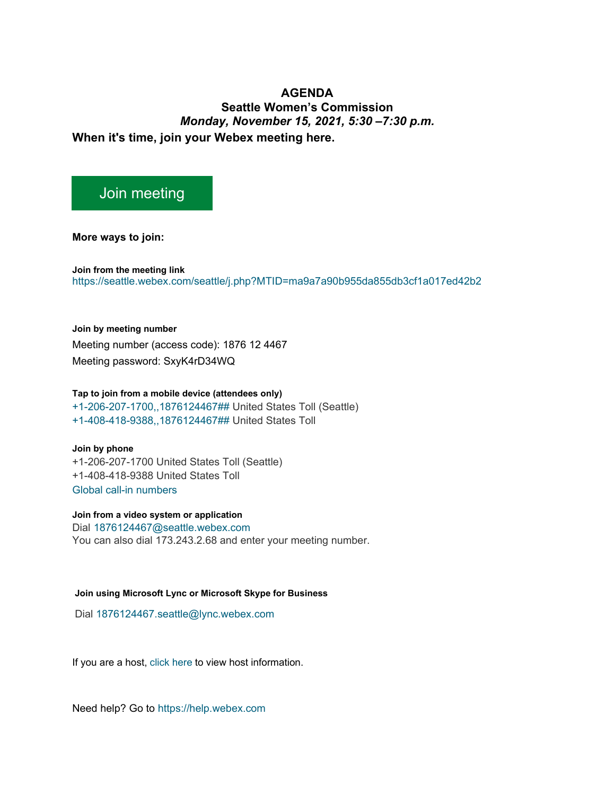## **AGENDA Seattle Women's Commission** *Monday, November 15, 2021, 5:30 –7:30 p.m.* **When it's time, join your Webex meeting here.**

## [Join meeting](https://seattle.webex.com/seattle/j.php?MTID=ma9a7a90b955da855db3cf1a017ed42b2)

**More ways to join:** 

**Join from the meeting link**  <https://seattle.webex.com/seattle/j.php?MTID=ma9a7a90b955da855db3cf1a017ed42b2>

**Join by meeting number**  Meeting number (access code): 1876 12 4467 Meeting password: SxyK4rD34WQ

## **Tap to join from a mobile device (attendees only)**

[+1-206-207-1700,,1876124467##](tel:%2B1-206-207-1700,,*01*1876124467%23%23*01*) United States Toll (Seattle) [+1-408-418-9388,,1876124467##](tel:%2B1-408-418-9388,,*01*1876124467%23%23*01*) United States Toll

**Join by phone**

+1-206-207-1700 United States Toll (Seattle) +1-408-418-9388 United States Toll [Global call-in numbers](https://seattle.webex.com/seattle/globalcallin.php?MTID=mc5d6dd9c40639a989d6fe8f31d012dc8)

**Join from a video system or application** Dial [1876124467@seattle.webex.com](sip:1876124467@seattle.webex.com)

You can also dial 173.243.2.68 and enter your meeting number.

## **Join using Microsoft Lync or Microsoft Skype for Business**

Dial [1876124467.seattle@lync.webex.com](sip:1876124467.seattle@lync.webex.com)

If you are a host, [click here](https://seattle.webex.com/seattle/j.php?MTID=m7f1b60fdf769d7c6d763e2fe1a7c5ad7) to view host information.

Need help? Go to [https://help.webex.com](https://help.webex.com/)